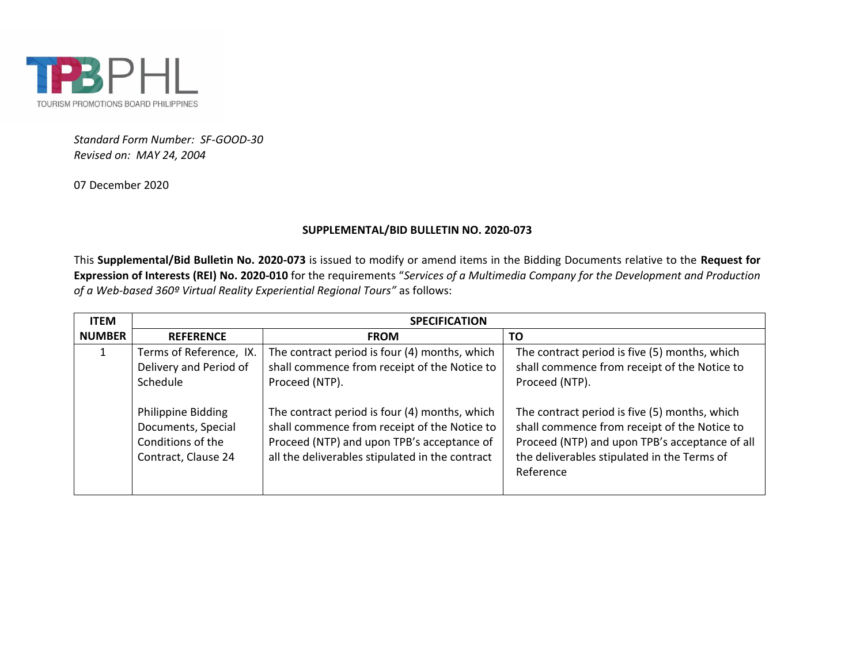

*Standard Form Number: SF-GOOD-30 Revised on: MAY 24, 2004*

07 December 2020

## **SUPPLEMENTAL/BID BULLETIN NO. 2020-073**

This **Supplemental/Bid Bulletin No. 2020-073** is issued to modify or amend items in the Bidding Documents relative to the **Request for Expression of Interests (REI) No. 2020-010** for the requirements "*Services of a Multimedia Company for the Development and Production of a Web-based 360º Virtual Reality Experiential Regional Tours"* as follows:

| <b>ITEM</b>   | <b>SPECIFICATION</b>                                                                 |                                                                                                                                                                                                |                                                                                                                                                                                                             |
|---------------|--------------------------------------------------------------------------------------|------------------------------------------------------------------------------------------------------------------------------------------------------------------------------------------------|-------------------------------------------------------------------------------------------------------------------------------------------------------------------------------------------------------------|
| <b>NUMBER</b> | <b>REFERENCE</b>                                                                     | <b>FROM</b>                                                                                                                                                                                    | ΤO                                                                                                                                                                                                          |
|               | Terms of Reference, IX.<br>Delivery and Period of<br>Schedule                        | The contract period is four (4) months, which<br>shall commence from receipt of the Notice to<br>Proceed (NTP).                                                                                | The contract period is five (5) months, which<br>shall commence from receipt of the Notice to<br>Proceed (NTP).                                                                                             |
|               | Philippine Bidding<br>Documents, Special<br>Conditions of the<br>Contract, Clause 24 | The contract period is four (4) months, which<br>shall commence from receipt of the Notice to<br>Proceed (NTP) and upon TPB's acceptance of<br>all the deliverables stipulated in the contract | The contract period is five (5) months, which<br>shall commence from receipt of the Notice to<br>Proceed (NTP) and upon TPB's acceptance of all<br>the deliverables stipulated in the Terms of<br>Reference |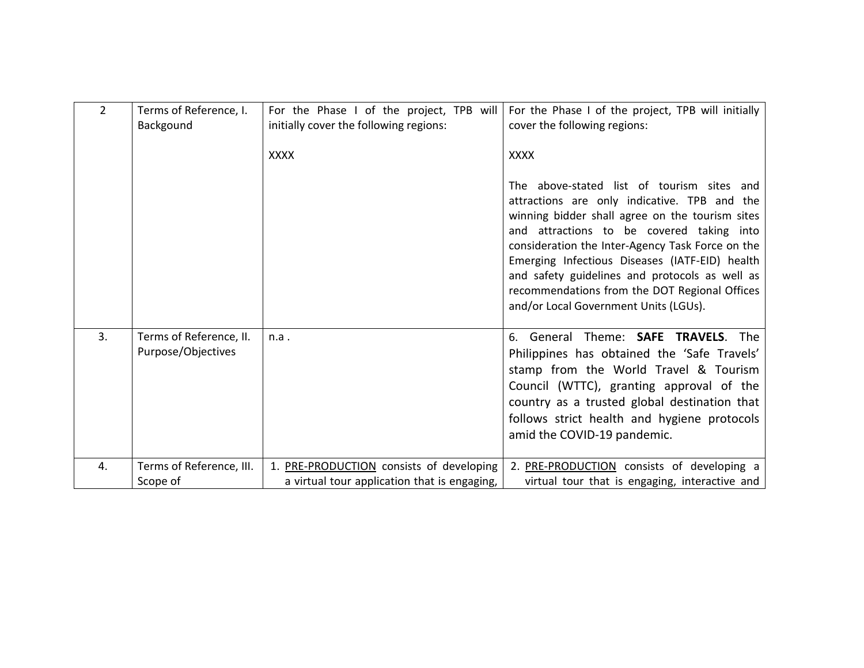| 2  | Terms of Reference, I.<br>Backgound           | For the Phase I of the project, TPB will<br>initially cover the following regions:<br><b>XXXX</b> | For the Phase I of the project, TPB will initially<br>cover the following regions:<br><b>XXXX</b>                                                                                                                                                                                                                                                                                                                                            |
|----|-----------------------------------------------|---------------------------------------------------------------------------------------------------|----------------------------------------------------------------------------------------------------------------------------------------------------------------------------------------------------------------------------------------------------------------------------------------------------------------------------------------------------------------------------------------------------------------------------------------------|
|    |                                               |                                                                                                   | The above-stated list of tourism sites and<br>attractions are only indicative. TPB and the<br>winning bidder shall agree on the tourism sites<br>and attractions to be covered taking into<br>consideration the Inter-Agency Task Force on the<br>Emerging Infectious Diseases (IATF-EID) health<br>and safety guidelines and protocols as well as<br>recommendations from the DOT Regional Offices<br>and/or Local Government Units (LGUs). |
| 3. | Terms of Reference, II.<br>Purpose/Objectives | n.a.                                                                                              | 6. General Theme: SAFE TRAVELS. The<br>Philippines has obtained the 'Safe Travels'<br>stamp from the World Travel & Tourism<br>Council (WTTC), granting approval of the<br>country as a trusted global destination that<br>follows strict health and hygiene protocols<br>amid the COVID-19 pandemic.                                                                                                                                        |
| 4. | Terms of Reference, III.<br>Scope of          | 1. PRE-PRODUCTION consists of developing<br>a virtual tour application that is engaging,          | 2. PRE-PRODUCTION consists of developing a<br>virtual tour that is engaging, interactive and                                                                                                                                                                                                                                                                                                                                                 |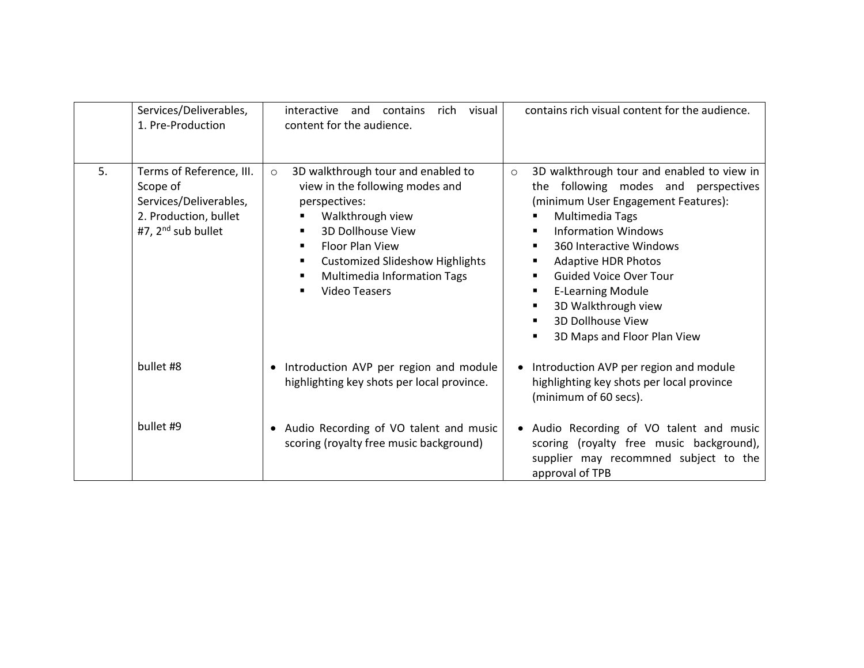|    | Services/Deliverables,<br>1. Pre-Production                                                                     | interactive<br>and<br>rich<br>visual<br>contains<br>content for the audience.                                                                                                                                                                                                                          | contains rich visual content for the audience.                                                                                                                                                                                                                                                                                                                                                               |
|----|-----------------------------------------------------------------------------------------------------------------|--------------------------------------------------------------------------------------------------------------------------------------------------------------------------------------------------------------------------------------------------------------------------------------------------------|--------------------------------------------------------------------------------------------------------------------------------------------------------------------------------------------------------------------------------------------------------------------------------------------------------------------------------------------------------------------------------------------------------------|
| 5. | Terms of Reference, III.<br>Scope of<br>Services/Deliverables,<br>2. Production, bullet<br>#7, $2nd$ sub bullet | 3D walkthrough tour and enabled to<br>$\circ$<br>view in the following modes and<br>perspectives:<br>Walkthrough view<br>3D Dollhouse View<br><b>Floor Plan View</b><br>п<br><b>Customized Slideshow Highlights</b><br>٠<br>Multimedia Information Tags<br>$\blacksquare$<br><b>Video Teasers</b><br>п | 3D walkthrough tour and enabled to view in<br>$\circ$<br>the following modes and perspectives<br>(minimum User Engagement Features):<br>Multimedia Tags<br><b>Information Windows</b><br>٠<br>360 Interactive Windows<br>٠<br><b>Adaptive HDR Photos</b><br><b>Guided Voice Over Tour</b><br><b>E-Learning Module</b><br>3D Walkthrough view<br>л<br><b>3D Dollhouse View</b><br>3D Maps and Floor Plan View |
|    | bullet #8                                                                                                       | Introduction AVP per region and module<br>$\bullet$<br>highlighting key shots per local province.                                                                                                                                                                                                      | Introduction AVP per region and module<br>highlighting key shots per local province<br>(minimum of 60 secs).                                                                                                                                                                                                                                                                                                 |
|    | bullet #9                                                                                                       | Audio Recording of VO talent and music<br>$\bullet$<br>scoring (royalty free music background)                                                                                                                                                                                                         | • Audio Recording of VO talent and music<br>scoring (royalty free music background),<br>supplier may recommned subject to the<br>approval of TPB                                                                                                                                                                                                                                                             |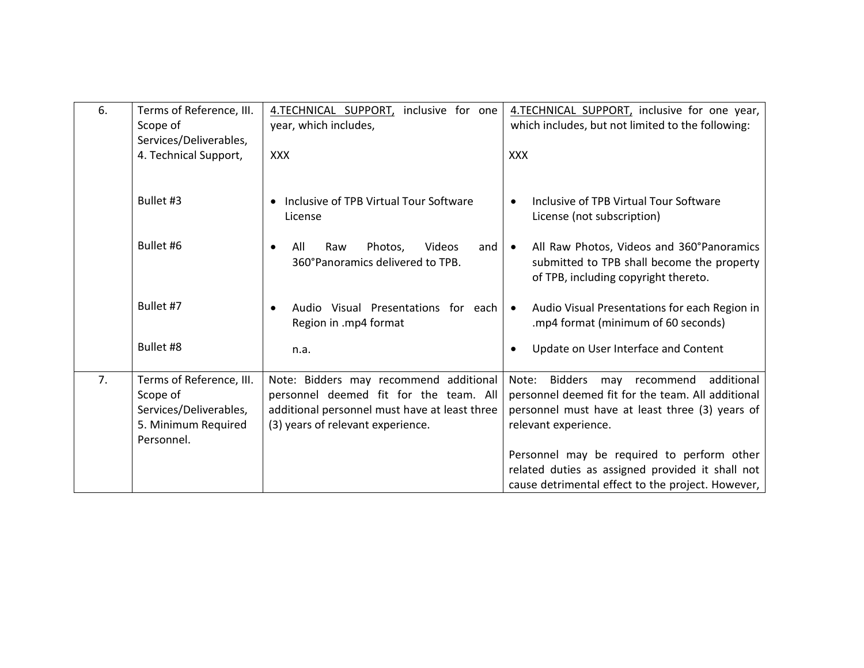| 6. | Terms of Reference, III.<br>Scope of                                                                | 4.TECHNICAL SUPPORT,<br>inclusive for one<br>year, which includes,                                                                                                     | 4.TECHNICAL SUPPORT, inclusive for one year,<br>which includes, but not limited to the following:                                                                                      |
|----|-----------------------------------------------------------------------------------------------------|------------------------------------------------------------------------------------------------------------------------------------------------------------------------|----------------------------------------------------------------------------------------------------------------------------------------------------------------------------------------|
|    | Services/Deliverables,<br>4. Technical Support,                                                     | <b>XXX</b>                                                                                                                                                             | <b>XXX</b>                                                                                                                                                                             |
|    | Bullet #3                                                                                           | Inclusive of TPB Virtual Tour Software<br>License                                                                                                                      | Inclusive of TPB Virtual Tour Software<br>$\bullet$<br>License (not subscription)                                                                                                      |
|    | Bullet #6                                                                                           | Raw<br>Photos,<br>Videos<br>All<br>and<br>$\bullet$<br>360°Panoramics delivered to TPB.                                                                                | All Raw Photos, Videos and 360°Panoramics<br>$\bullet$<br>submitted to TPB shall become the property<br>of TPB, including copyright thereto.                                           |
|    | Bullet #7                                                                                           | Audio Visual Presentations for each<br>Region in .mp4 format                                                                                                           | Audio Visual Presentations for each Region in<br>$\bullet$<br>.mp4 format (minimum of 60 seconds)                                                                                      |
|    | Bullet #8                                                                                           | n.a.                                                                                                                                                                   | Update on User Interface and Content<br>$\bullet$                                                                                                                                      |
| 7. | Terms of Reference, III.<br>Scope of<br>Services/Deliverables,<br>5. Minimum Required<br>Personnel. | Note: Bidders may recommend additional<br>personnel deemed fit for the team. All<br>additional personnel must have at least three<br>(3) years of relevant experience. | additional<br><b>Bidders</b><br>may recommend<br>Note:<br>personnel deemed fit for the team. All additional<br>personnel must have at least three (3) years of<br>relevant experience. |
|    |                                                                                                     |                                                                                                                                                                        | Personnel may be required to perform other<br>related duties as assigned provided it shall not<br>cause detrimental effect to the project. However,                                    |